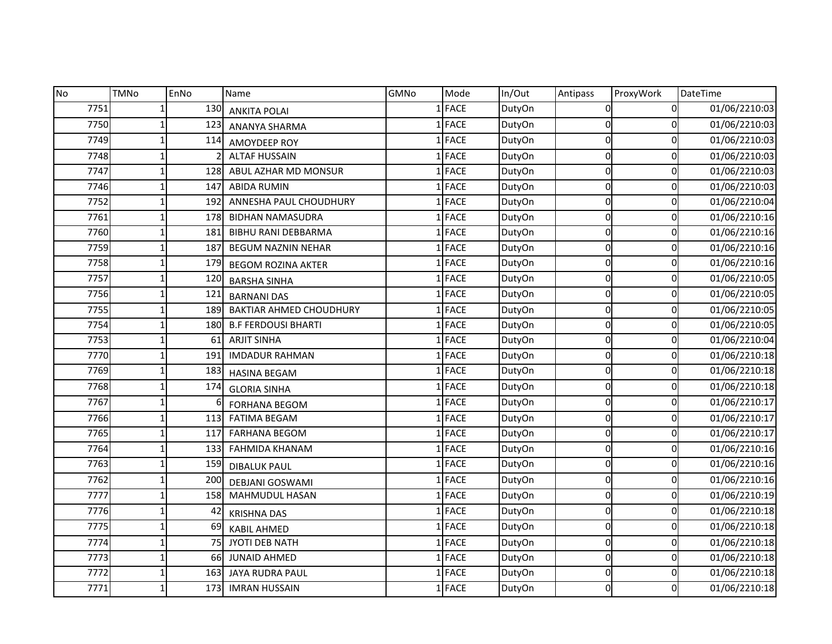| <b>No</b> | <b>TMNo</b> | EnNo | Name                           | GMNo | Mode        | In/Out | Antipass | ProxyWork | DateTime      |
|-----------|-------------|------|--------------------------------|------|-------------|--------|----------|-----------|---------------|
| 7751      |             | 130  | <b>ANKITA POLAI</b>            |      | <b>FACE</b> | DutyOn | ΩI       | 0         | 01/06/2210:03 |
| 7750      |             | 123  | ANANYA SHARMA                  |      | <b>FACE</b> | DutyOn | 0        | 0         | 01/06/2210:03 |
| 7749      |             | 114  | AMOYDEEP ROY                   |      | FACE        | DutyOn | 0        | 0         | 01/06/2210:03 |
| 7748      |             |      | <b>ALTAF HUSSAIN</b>           |      | <b>FACE</b> | DutyOn | 0        | 0         | 01/06/2210:03 |
| 7747      |             | 128  | ABUL AZHAR MD MONSUR           |      | <b>FACE</b> | DutyOn | 0        | 0         | 01/06/2210:03 |
| 7746      |             | 147  | <b>ABIDA RUMIN</b>             |      | <b>FACE</b> | DutyOn | 0        | 0         | 01/06/2210:03 |
| 7752      |             | 192  | ANNESHA PAUL CHOUDHURY         |      | <b>FACE</b> | DutyOn | Οl       | 0         | 01/06/2210:04 |
| 7761      |             | 178  | <b>BIDHAN NAMASUDRA</b>        |      | <b>FACE</b> | DutyOn | Οl       | 0         | 01/06/2210:16 |
| 7760      |             | 181  | <b>BIBHU RANI DEBBARMA</b>     |      | <b>FACE</b> | DutyOn | 0        | 0         | 01/06/2210:16 |
| 7759      |             | 187  | <b>BEGUM NAZNIN NEHAR</b>      |      | <b>FACE</b> | DutyOn | 0        | 0         | 01/06/2210:16 |
| 7758      |             | 179  | <b>BEGOM ROZINA AKTER</b>      |      | 1 FACE      | DutyOn | 0        | 0         | 01/06/2210:16 |
| 7757      |             | 120  | <b>BARSHA SINHA</b>            |      | <b>FACE</b> | DutyOn | 0        | 0         | 01/06/2210:05 |
| 7756      |             | 121  | <b>BARNANI DAS</b>             |      | <b>FACE</b> | DutyOn | 0        | 0         | 01/06/2210:05 |
| 7755      |             | 189  | <b>BAKTIAR AHMED CHOUDHURY</b> |      | <b>FACE</b> | DutyOn | 0        | 0         | 01/06/2210:05 |
| 7754      |             | 180  | <b>B.F FERDOUSI BHARTI</b>     |      | <b>FACE</b> | DutyOn | 0l       | 0         | 01/06/2210:05 |
| 7753      |             | 61   | <b>ARJIT SINHA</b>             |      | <b>FACE</b> | DutyOn | Οl       | 0         | 01/06/2210:04 |
| 7770      |             | 191  | <b>IMDADUR RAHMAN</b>          |      | <b>FACE</b> | DutyOn | 0        | 0         | 01/06/2210:18 |
| 7769      |             | 183  | <b>HASINA BEGAM</b>            |      | <b>FACE</b> | DutyOn | 0        | 0         | 01/06/2210:18 |
| 7768      |             | 174  | <b>GLORIA SINHA</b>            |      | <b>FACE</b> | DutyOn | 0l       | 0         | 01/06/2210:18 |
| 7767      |             |      | <b>FORHANA BEGOM</b>           |      | <b>FACE</b> | DutyOn | 0        | 0         | 01/06/2210:17 |
| 7766      |             | 113  | <b>FATIMA BEGAM</b>            |      | <b>FACE</b> | DutyOn | 0        | 0         | 01/06/2210:17 |
| 7765      |             | 117  | <b>FARHANA BEGOM</b>           |      | 1 FACE      | DutyOn | 0        | 0         | 01/06/2210:17 |
| 7764      |             | 133  | <b>FAHMIDA KHANAM</b>          |      | <b>FACE</b> | DutyOn | 0        | 0         | 01/06/2210:16 |
| 7763      |             | 159  | <b>DIBALUK PAUL</b>            |      | <b>FACE</b> | DutyOn | $\Omega$ | 0         | 01/06/2210:16 |
| 7762      |             | 200  | <b>DEBJANI GOSWAMI</b>         |      | <b>FACE</b> | DutyOn | 0        | 0         | 01/06/2210:16 |
| 7777      |             | 158  | <b>MAHMUDUL HASAN</b>          |      | 1 FACE      | DutyOn | 0l       | 0         | 01/06/2210:19 |
| 7776      |             | 42   | <b>KRISHNA DAS</b>             |      | <b>FACE</b> | DutyOn | Οl       | 0         | 01/06/2210:18 |
| 7775      |             | 69   | <b>KABIL AHMED</b>             |      | <b>FACE</b> | DutyOn | 0        | 0         | 01/06/2210:18 |
| 7774      |             | 75   | JYOTI DEB NATH                 |      | 1 FACE      | DutyOn | 0        | 0         | 01/06/2210:18 |
| 7773      |             | 66   | <b>JUNAID AHMED</b>            |      | FACE        | DutyOn | 0        | 0         | 01/06/2210:18 |
| 7772      |             | 163  | JAYA RUDRA PAUL                |      | <b>FACE</b> | DutyOn | Οl       | 0         | 01/06/2210:18 |
| 7771      |             | 173  | <b>IMRAN HUSSAIN</b>           |      | <b>FACE</b> | DutyOn | 0        | 0         | 01/06/2210:18 |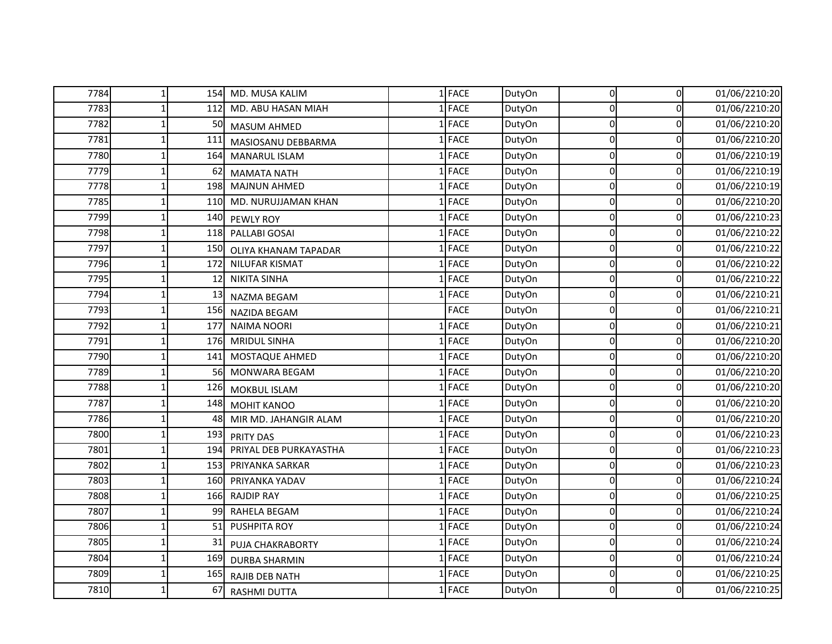| 7784 | 1 <sup>1</sup>  |                 | 154 MD. MUSA KALIM     | $1$ FACE    | DutyOn | $\overline{0}$ | $\overline{0}$ | 01/06/2210:20 |
|------|-----------------|-----------------|------------------------|-------------|--------|----------------|----------------|---------------|
| 7783 |                 | 112             | MD. ABU HASAN MIAH     | <b>FACE</b> | DutyOn | 0              | 0              | 01/06/2210:20 |
| 7782 |                 | 50              | MASUM AHMED            | FACE        | DutyOn | 0              | 0              | 01/06/2210:20 |
| 7781 |                 | 11 <sup>2</sup> | MASIOSANU DEBBARMA     | $1$ FACE    | DutyOn | 0              | 0              | 01/06/2210:20 |
| 7780 |                 | 164             | MANARUL ISLAM          | <b>FACE</b> | DutyOn | 0              | 0              | 01/06/2210:19 |
| 7779 |                 | 62              | <b>MAMATA NATH</b>     | FACE        | DutyOn | $\Omega$       | 0              | 01/06/2210:19 |
| 7778 |                 | 198             | <b>MAJNUN AHMED</b>    | FACE        | DutyOn | $\Omega$       | 0              | 01/06/2210:19 |
| 7785 |                 | 110             | MD. NURUJJAMAN KHAN    | 1 FACE      | DutyOn | $\Omega$       | 0              | 01/06/2210:20 |
| 7799 |                 | 140             | PEWLY ROY              | <b>FACE</b> | DutyOn | $\Omega$       | 0              | 01/06/2210:23 |
| 7798 |                 | 118             | PALLABI GOSAI          | <b>FACE</b> | DutyOn | $\Omega$       | 0              | 01/06/2210:22 |
| 7797 |                 | 150             | OLIYA KHANAM TAPADAR   | <b>FACE</b> | DutyOn | $\Omega$       | 0              | 01/06/2210:22 |
| 7796 |                 | 172             | NILUFAR KISMAT         | <b>FACE</b> | DutyOn | 0              | 0              | 01/06/2210:22 |
| 7795 |                 | 12              | <b>NIKITA SINHA</b>    | <b>FACE</b> | DutyOn | $\Omega$       | 0              | 01/06/2210:22 |
| 7794 |                 | 13              | NAZMA BEGAM            | <b>FACE</b> | DutyOn | 0              | 0              | 01/06/2210:21 |
| 7793 |                 | 156             | <b>NAZIDA BEGAM</b>    | <b>FACE</b> | DutyOn | 0              | 0              | 01/06/2210:21 |
| 7792 |                 | 177             | <b>NAIMA NOORI</b>     | <b>FACE</b> | DutyOn | $\pmb{0}$      | 0              | 01/06/2210:21 |
| 7791 |                 | 176             | <b>MRIDUL SINHA</b>    | <b>FACE</b> | DutyOn | 0              | 0              | 01/06/2210:20 |
| 7790 |                 | 141             | MOSTAQUE AHMED         | <b>FACE</b> | DutyOn | 0              | 0              | 01/06/2210:20 |
| 7789 |                 | 56              | <b>MONWARA BEGAM</b>   | $1$ FACE    | DutyOn | 0              | 0              | 01/06/2210:20 |
| 7788 |                 | 126             | MOKBUL ISLAM           | <b>FACE</b> | DutyOn | 0              | 0              | 01/06/2210:20 |
| 7787 |                 | 148             | <b>MOHIT KANOO</b>     | <b>FACE</b> | DutyOn | 0              | 0              | 01/06/2210:20 |
| 7786 |                 | 48              | MIR MD. JAHANGIR ALAM  | FACE        | DutyOn | 0              | 0              | 01/06/2210:20 |
| 7800 |                 | 193             | <b>PRITY DAS</b>       | $1$ FACE    | DutyOn | 0              | 0              | 01/06/2210:23 |
| 7801 |                 | 194             | PRIYAL DEB PURKAYASTHA | <b>FACE</b> | DutyOn | $\Omega$       | 0              | 01/06/2210:23 |
| 7802 |                 | 153             | PRIYANKA SARKAR        | <b>FACE</b> | DutyOn | $\Omega$       | 0              | 01/06/2210:23 |
| 7803 |                 | 160             | PRIYANKA YADAV         | <b>FACE</b> | DutyOn | $\Omega$       | 0              | 01/06/2210:24 |
| 7808 | $1\overline{ }$ | 166             | <b>RAJDIP RAY</b>      | 1 FACE      | DutyOn | 0              | 0              | 01/06/2210:25 |
| 7807 |                 | 99              | RAHELA BEGAM           | <b>FACE</b> | DutyOn | $\mathbf 0$    | 0              | 01/06/2210:24 |
| 7806 |                 | 51              | PUSHPITA ROY           | $1$ FACE    | DutyOn | 0              | 0              | 01/06/2210:24 |
| 7805 |                 | 31              | PUJA CHAKRABORTY       | <b>FACE</b> | DutyOn | 0              | 0              | 01/06/2210:24 |
| 7804 |                 | 169             | <b>DURBA SHARMIN</b>   | $1$ FACE    | DutyOn | 0              | 0              | 01/06/2210:24 |
| 7809 |                 | 165             | <b>RAJIB DEB NATH</b>  | <b>FACE</b> | DutyOn | 0              | 0              | 01/06/2210:25 |
| 7810 |                 | 67              | <b>RASHMI DUTTA</b>    | <b>FACE</b> | DutyOn | $\overline{0}$ | 0              | 01/06/2210:25 |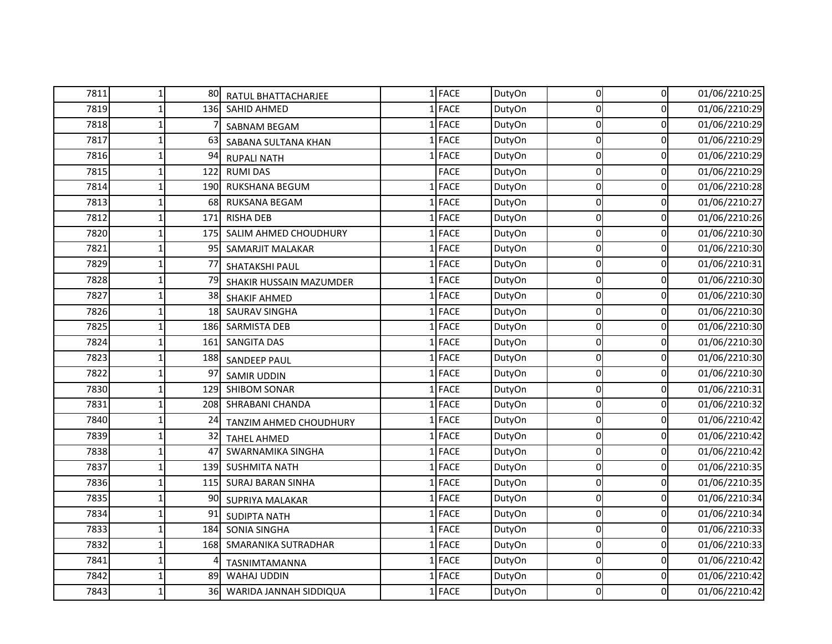| 7811 | 80I       | RATUL BHATTACHARJEE      | 1 FACE      | DutyOn | $\overline{0}$ | $\overline{0}$ | 01/06/2210:25 |
|------|-----------|--------------------------|-------------|--------|----------------|----------------|---------------|
| 7819 | 136       | <b>SAHID AHMED</b>       | $1$ FACE    | DutyOn | 0              | 0              | 01/06/2210:29 |
| 7818 |           | SABNAM BEGAM             | 1 FACE      | DutyOn | 0              | 0              | 01/06/2210:29 |
| 7817 | 63        | SABANA SULTANA KHAN      | 1 FACE      | DutyOn | 0              | 0              | 01/06/2210:29 |
| 7816 | 94        | <b>RUPALI NATH</b>       | 1 FACE      | DutyOn | $\Omega$       | 0              | 01/06/2210:29 |
| 7815 | 122       | <b>RUMI DAS</b>          | <b>FACE</b> | DutyOn | 0              | 0              | 01/06/2210:29 |
| 7814 | 190       | RUKSHANA BEGUM           | 1 FACE      | DutyOn | $\Omega$       | $\mathbf 0$    | 01/06/2210:28 |
| 7813 | 68        | RUKSANA BEGAM            | 1 FACE      | DutyOn | 0              | $\mathbf 0$    | 01/06/2210:27 |
| 7812 | 171       | <b>RISHA DEB</b>         | 1 FACE      | DutyOn | $\Omega$       | 0              | 01/06/2210:26 |
| 7820 | 175       | SALIM AHMED CHOUDHURY    | 1 FACE      | DutyOn | $\Omega$       | $\Omega$       | 01/06/2210:30 |
| 7821 | 95        | SAMARJIT MALAKAR         | $1$ FACE    | DutyOn | $\Omega$       | $\Omega$       | 01/06/2210:30 |
| 7829 | 77        | SHATAKSHI PAUL           | 1 FACE      | DutyOn | 0              | 0              | 01/06/2210:31 |
| 7828 | 79        | SHAKIR HUSSAIN MAZUMDER  | 1 FACE      | DutyOn | $\mathbf 0$    | 0              | 01/06/2210:30 |
| 7827 | 38        | <b>SHAKIF AHMED</b>      | 1 FACE      | DutyOn | 0              | 0              | 01/06/2210:30 |
| 7826 | <b>18</b> | <b>SAURAV SINGHA</b>     | 1 FACE      | DutyOn | 0              | 0              | 01/06/2210:30 |
| 7825 | 186       | <b>SARMISTA DEB</b>      | $1$ FACE    | DutyOn | $\Omega$       | 0              | 01/06/2210:30 |
| 7824 | 161       | <b>SANGITA DAS</b>       | 1 FACE      | DutyOn | $\Omega$       | $\Omega$       | 01/06/2210:30 |
| 7823 | 188       | <b>SANDEEP PAUL</b>      | 1 FACE      | DutyOn | $\Omega$       | 0              | 01/06/2210:30 |
| 7822 | 97        | <b>SAMIR UDDIN</b>       | 1 FACE      | DutyOn | 0              | 0              | 01/06/2210:30 |
| 7830 | 129       | <b>SHIBOM SONAR</b>      | 1 FACE      | DutyOn | $\Omega$       | 0              | 01/06/2210:31 |
| 7831 | 208       | SHRABANI CHANDA          | 1 FACE      | DutyOn | 0              | 0              | 01/06/2210:32 |
| 7840 | 24        | TANZIM AHMED CHOUDHURY   | 1 FACE      | DutyOn | $\Omega$       | $\Omega$       | 01/06/2210:42 |
| 7839 | 32        | <b>TAHEL AHMED</b>       | 1 FACE      | DutyOn | 0              | 0              | 01/06/2210:42 |
| 7838 | 47        | SWARNAMIKA SINGHA        | 1 FACE      | DutyOn | $\Omega$       | 0              | 01/06/2210:42 |
| 7837 | 139       | <b>SUSHMITA NATH</b>     | 1 FACE      | DutyOn | 0              | 0              | 01/06/2210:35 |
| 7836 | 115I      | <b>SURAJ BARAN SINHA</b> | 1 FACE      | DutyOn | 0              | 0              | 01/06/2210:35 |
| 7835 | 90        | SUPRIYA MALAKAR          | 1 FACE      | DutyOn | 0              | $\mathbf 0$    | 01/06/2210:34 |
| 7834 | 91        | <b>SUDIPTA NATH</b>      | 1 FACE      | DutyOn | 0              | 0              | 01/06/2210:34 |
| 7833 | 184       | SONIA SINGHA             | 1 FACE      | DutyOn | $\Omega$       | $\mathbf 0$    | 01/06/2210:33 |
| 7832 | 168       | SMARANIKA SUTRADHAR      | 1 FACE      | DutyOn | $\Omega$       | $\mathbf 0$    | 01/06/2210:33 |
| 7841 |           | TASNIMTAMANNA            | 1 FACE      | DutyOn | $\Omega$       | $\mathbf 0$    | 01/06/2210:42 |
| 7842 | 89        | WAHAJ UDDIN              | 1 FACE      | DutyOn | $\Omega$       | 0              | 01/06/2210:42 |
| 7843 | 36        | WARIDA JANNAH SIDDIQUA   | 1 FACE      | DutyOn | $\Omega$       | $\Omega$       | 01/06/2210:42 |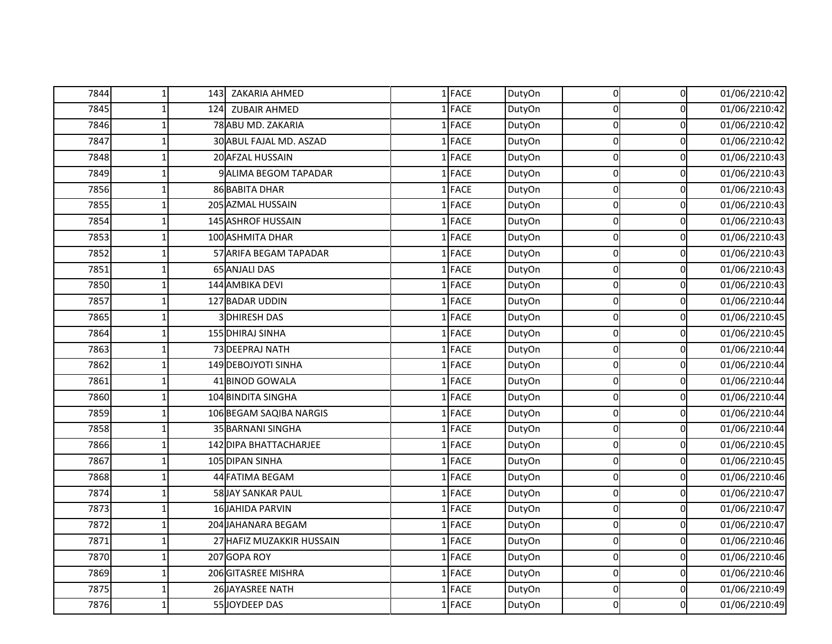| 7844 | $\mathbf{1}$ |     | 143 ZAKARIA AHMED         | 1 FACE      | DutyOn | $\overline{0}$ | $\overline{0}$ | 01/06/2210:42 |
|------|--------------|-----|---------------------------|-------------|--------|----------------|----------------|---------------|
| 7845 |              | 124 | <b>ZUBAIR AHMED</b>       | $1$ FACE    | DutyOn | 0              | 0              | 01/06/2210:42 |
| 7846 |              |     | 78 ABU MD. ZAKARIA        | 1 FACE      | DutyOn | 0              | $\mathbf 0$    | 01/06/2210:42 |
| 7847 |              |     | 30 ABUL FAJAL MD. ASZAD   | 1 FACE      | DutyOn | $\Omega$       | 0              | 01/06/2210:42 |
| 7848 |              |     | 20 AFZAL HUSSAIN          | 1 FACE      | DutyOn | 0              | 0              | 01/06/2210:43 |
| 7849 |              |     | 9 ALIMA BEGOM TAPADAR     | 1 FACE      | DutyOn | 0              | 0              | 01/06/2210:43 |
| 7856 |              |     | 86 BABITA DHAR            | 1 FACE      | DutyOn | 0              | 0              | 01/06/2210:43 |
| 7855 |              |     | 205 AZMAL HUSSAIN         | 1 FACE      | DutyOn | $\Omega$       | 0              | 01/06/2210:43 |
| 7854 |              |     | 145 ASHROF HUSSAIN        | 1 FACE      | DutyOn | $\Omega$       | 0              | 01/06/2210:43 |
| 7853 |              |     | 100 ASHMITA DHAR          | 1 FACE      | DutyOn | O              | 0              | 01/06/2210:43 |
| 7852 |              |     | 57 ARIFA BEGAM TAPADAR    | 1 FACE      | DutyOn | $\Omega$       | $\mathbf 0$    | 01/06/2210:43 |
| 7851 |              |     | <b>65 ANJALI DAS</b>      | 1 FACE      | DutyOn | 0              | $\overline{0}$ | 01/06/2210:43 |
| 7850 |              |     | 144 AMBIKA DEVI           | <b>FACE</b> | DutyOn | $\Omega$       | 0              | 01/06/2210:43 |
| 7857 |              |     | 127 BADAR UDDIN           | <b>FACE</b> | DutyOn | $\Omega$       | 0              | 01/06/2210:44 |
| 7865 |              |     | <b>3DHIRESH DAS</b>       | <b>FACE</b> | DutyOn | $\Omega$       | 0              | 01/06/2210:45 |
| 7864 |              |     | 155 DHIRAJ SINHA          | <b>FACE</b> | DutyOn | 0              | 0              | 01/06/2210:45 |
| 7863 |              |     | 73 DEEPRAJ NATH           | <b>FACE</b> | DutyOn | 0              | 0              | 01/06/2210:44 |
| 7862 |              |     | 149 DEBOJYOTI SINHA       | <b>FACE</b> | DutyOn | 0              | 0              | 01/06/2210:44 |
| 7861 |              |     | 41 BINOD GOWALA           | 1 FACE      | DutyOn | 0              | $\mathbf 0$    | 01/06/2210:44 |
| 7860 |              |     | 104 BINDITA SINGHA        | 1 FACE      | DutyOn | 0              | 0              | 01/06/2210:44 |
| 7859 |              |     | 106 BEGAM SAQIBA NARGIS   | $1$ FACE    | DutyOn | $\Omega$       | 0              | 01/06/2210:44 |
| 7858 |              |     | 35 BARNANI SINGHA         | 1 FACE      | DutyOn | 0              | 0              | 01/06/2210:44 |
| 7866 |              |     | 142 DIPA BHATTACHARJEE    | 1 FACE      | DutyOn | 0              | 0              | 01/06/2210:45 |
| 7867 |              |     | 105 DIPAN SINHA           | 1 FACE      | DutyOn | $\Omega$       | 0              | 01/06/2210:45 |
| 7868 |              |     | 44 FATIMA BEGAM           | 1 FACE      | DutyOn | $\Omega$       | $\Omega$       | 01/06/2210:46 |
| 7874 |              |     | 58 JAY SANKAR PAUL        | 1 FACE      | DutyOn | 0              | 0              | 01/06/2210:47 |
| 7873 |              |     | <b>16 JAHIDA PARVIN</b>   | 1 FACE      | DutyOn | $\mathbf 0$    | $\mathbf 0$    | 01/06/2210:47 |
| 7872 |              |     | 204 JAHANARA BEGAM        | <b>FACE</b> | DutyOn | $\Omega$       | 0              | 01/06/2210:47 |
| 7871 |              |     | 27 HAFIZ MUZAKKIR HUSSAIN | FACE        | DutyOn | 0              | 0              | 01/06/2210:46 |
| 7870 |              |     | 207 GOPA ROY              | <b>FACE</b> | DutyOn | 0              | $\mathbf 0$    | 01/06/2210:46 |
| 7869 |              |     | 206 GITASREE MISHRA       | 1 FACE      | DutyOn | 0              | 0              | 01/06/2210:46 |
| 7875 |              |     | 26 JAYASREE NATH          | <b>FACE</b> | DutyOn | $\Omega$       | 0              | 01/06/2210:49 |
| 7876 |              |     | 55 JOYDEEP DAS            | 1 FACE      | DutyOn | 0              | 0              | 01/06/2210:49 |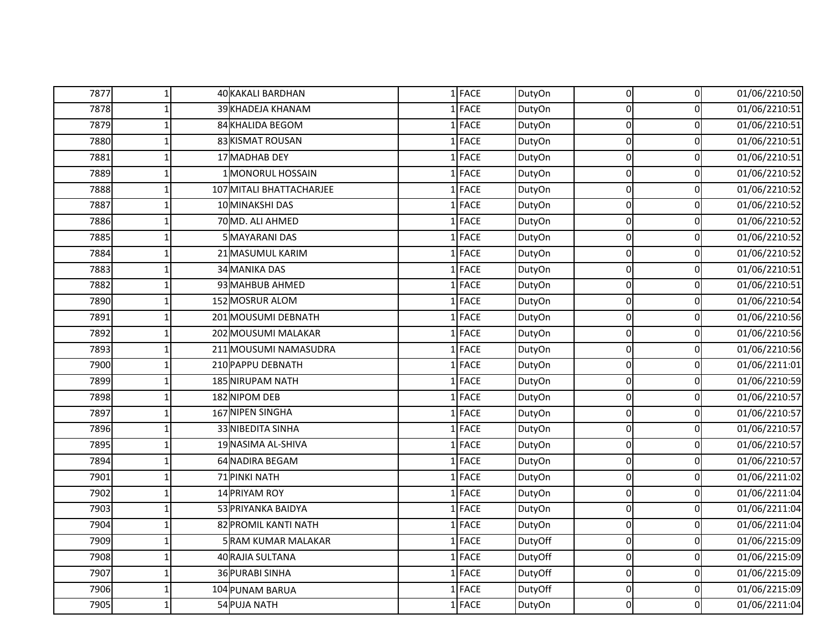| 7877 | 1 | 40 KAKALI BARDHAN        | $1$ FACE | DutyOn  | $\overline{0}$ | $\overline{0}$ | 01/06/2210:50 |
|------|---|--------------------------|----------|---------|----------------|----------------|---------------|
| 7878 |   | 39 KHADEJA KHANAM        | $1$ FACE | DutyOn  | $\Omega$       | 0              | 01/06/2210:51 |
| 7879 |   | 84 KHALIDA BEGOM         | $1$ FACE | DutyOn  | $\mathbf 0$    | $\overline{0}$ | 01/06/2210:51 |
| 7880 |   | 83 KISMAT ROUSAN         | $1$ FACE | DutyOn  | $\Omega$       | $\Omega$       | 01/06/2210:51 |
| 7881 |   | 17 MADHAB DEY            | 1 FACE   | DutyOn  | $\Omega$       | $\overline{0}$ | 01/06/2210:51 |
| 7889 |   | 1 MONORUL HOSSAIN        | $1$ FACE | DutyOn  | $\Omega$       | $\mathbf 0$    | 01/06/2210:52 |
| 7888 |   | 107 MITALI BHATTACHARJEE | $1$ FACE | DutyOn  | $\Omega$       | $\overline{0}$ | 01/06/2210:52 |
| 7887 |   | 10 MINAKSHI DAS          | $1$ FACE | DutyOn  | $\Omega$       | $\overline{0}$ | 01/06/2210:52 |
| 7886 |   | 70 MD. ALI AHMED         | $1$ FACE | DutyOn  | $\Omega$       | $\mathbf 0$    | 01/06/2210:52 |
| 7885 |   | 5 MAYARANI DAS           | $1$ FACE | DutyOn  | $\Omega$       | $\Omega$       | 01/06/2210:52 |
| 7884 |   | 21 MASUMUL KARIM         | 1 FACE   | DutyOn  | $\Omega$       | $\Omega$       | 01/06/2210:52 |
| 7883 |   | <b>34 MANIKA DAS</b>     | 1 FACE   | DutyOn  | 0              | $\pmb{0}$      | 01/06/2210:51 |
| 7882 |   | 93 MAHBUB AHMED          | $1$ FACE | DutyOn  | $\Omega$       | $\mathbf 0$    | 01/06/2210:51 |
| 7890 |   | 152 MOSRUR ALOM          | $1$ FACE | DutyOn  | $\Omega$       | $\mathbf 0$    | 01/06/2210:54 |
| 7891 |   | 201 MOUSUMI DEBNATH      | $1$ FACE | DutyOn  | $\Omega$       | $\overline{0}$ | 01/06/2210:56 |
| 7892 |   | 202 MOUSUMI MALAKAR      | 1 FACE   | DutyOn  | $\Omega$       | $\overline{0}$ | 01/06/2210:56 |
| 7893 |   | 211 MOUSUMI NAMASUDRA    | $1$ FACE | DutyOn  | $\Omega$       | $\mathbf 0$    | 01/06/2210:56 |
| 7900 |   | 210 PAPPU DEBNATH        | 1 FACE   | DutyOn  | $\Omega$       | $\Omega$       | 01/06/2211:01 |
| 7899 |   | 185 NIRUPAM NATH         | $1$ FACE | DutyOn  | 0              | $\overline{0}$ | 01/06/2210:59 |
| 7898 |   | 182 NIPOM DEB            | 1 FACE   | DutyOn  | 0              | $\mathbf 0$    | 01/06/2210:57 |
| 7897 |   | 167 NIPEN SINGHA         | $1$ FACE | DutyOn  | $\Omega$       | $\mathbf 0$    | 01/06/2210:57 |
| 7896 |   | 33 NIBEDITA SINHA        | 1 FACE   | DutyOn  | 0              | $\overline{0}$ | 01/06/2210:57 |
| 7895 |   | 19 NASIMA AL-SHIVA       | $1$ FACE | DutyOn  | $\Omega$       | 0              | 01/06/2210:57 |
| 7894 |   | 64 NADIRA BEGAM          | $1$ FACE | DutyOn  | $\Omega$       | $\overline{0}$ | 01/06/2210:57 |
| 7901 |   | 71 PINKI NATH            | 1 FACE   | DutyOn  | $\Omega$       | $\Omega$       | 01/06/2211:02 |
| 7902 |   | 14 PRIYAM ROY            | $1$ FACE | DutyOn  | 0              | $\mathbf 0$    | 01/06/2211:04 |
| 7903 |   | 53 PRIYANKA BAIDYA       | 1 FACE   | DutyOn  | 0              | 0              | 01/06/2211:04 |
| 7904 |   | 82 PROMIL KANTI NATH     | 1 FACE   | DutyOn  | $\Omega$       | $\mathbf 0$    | 01/06/2211:04 |
| 7909 |   | 5 RAM KUMAR MALAKAR      | 1 FACE   | DutyOff | 0              | $\mathbf 0$    | 01/06/2215:09 |
| 7908 |   | 40 RAJIA SULTANA         | 1 FACE   | DutyOff | 0              | $\overline{0}$ | 01/06/2215:09 |
| 7907 |   | 36 PURABI SINHA          | $1$ FACE | DutyOff | $\Omega$       | $\overline{0}$ | 01/06/2215:09 |
| 7906 |   | 104 PUNAM BARUA          | 1 FACE   | DutyOff | $\Omega$       | $\mathbf 0$    | 01/06/2215:09 |
| 7905 |   | 54 PUJA NATH             | $1$ FACE | DutyOn  | $\overline{0}$ | 0              | 01/06/2211:04 |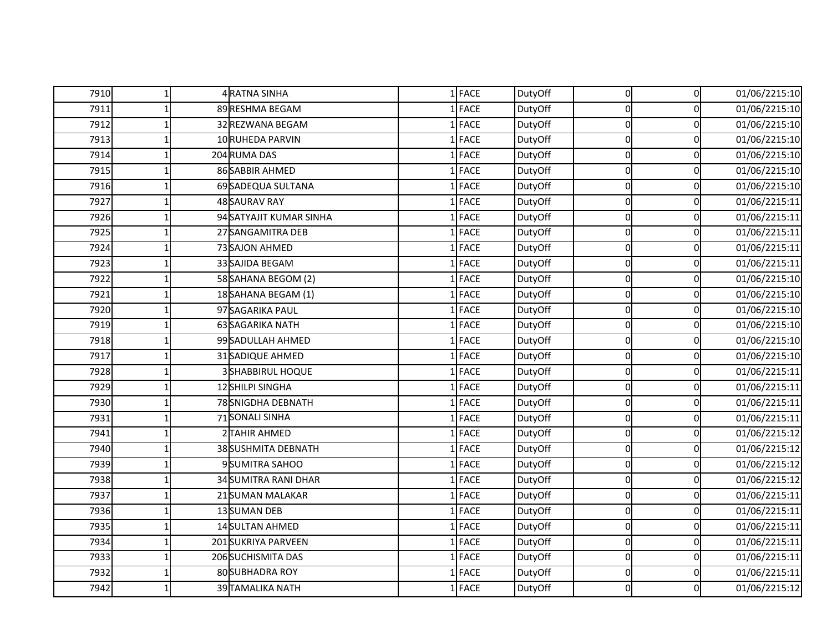| 7910 | $\mathbf{1}$ | 4 RATNA SINHA            | $1$ FACE    | DutyOff | $\overline{0}$ | $\overline{0}$ | 01/06/2215:10 |
|------|--------------|--------------------------|-------------|---------|----------------|----------------|---------------|
| 7911 |              | 89 RESHMA BEGAM          | $1$ FACE    | DutyOff | $\Omega$       | $\Omega$       | 01/06/2215:10 |
| 7912 |              | 32 REZWANA BEGAM         | $1$ FACE    | DutyOff | $\Omega$       | $\Omega$       | 01/06/2215:10 |
| 7913 |              | 10 RUHEDA PARVIN         | 1 FACE      | DutyOff | $\Omega$       | 0              | 01/06/2215:10 |
| 7914 |              | 204 RUMA DAS             | 1 FACE      | DutyOff | $\Omega$       | $\mathbf 0$    | 01/06/2215:10 |
| 7915 |              | 86 SABBIR AHMED          | $1$ FACE    | DutyOff | $\Omega$       | $\mathbf 0$    | 01/06/2215:10 |
| 7916 |              | 69 SADEQUA SULTANA       | $1$ FACE    | DutyOff | $\overline{0}$ | $\mathbf 0$    | 01/06/2215:10 |
| 7927 |              | <b>48 SAURAV RAY</b>     | 1 FACE      | DutyOff | $\Omega$       | 0              | 01/06/2215:11 |
| 7926 |              | 94 SATYAJIT KUMAR SINHA  | 1 FACE      | DutyOff | $\Omega$       | $\mathbf 0$    | 01/06/2215:11 |
| 7925 |              | 27 SANGAMITRA DEB        | $1$ FACE    | DutyOff | $\Omega$       | $\mathbf 0$    | 01/06/2215:11 |
| 7924 |              | 73 SAJON AHMED           | $1$ FACE    | DutyOff | $\Omega$       | 0              | 01/06/2215:11 |
| 7923 |              | 33 SAJIDA BEGAM          | $1$ FACE    | DutyOff | $\Omega$       | $\mathbf 0$    | 01/06/2215:11 |
| 7922 |              | 58 SAHANA BEGOM (2)      | <b>FACE</b> | DutyOff | $\Omega$       | $\Omega$       | 01/06/2215:10 |
| 7921 |              | 18 SAHANA BEGAM (1)      | <b>FACE</b> | DutyOff | $\Omega$       | $\mathbf 0$    | 01/06/2215:10 |
| 7920 |              | 97 SAGARIKA PAUL         | $1$ FACE    | DutyOff | $\Omega$       | 0              | 01/06/2215:10 |
| 7919 |              | 63 SAGARIKA NATH         | $1$ FACE    | DutyOff | $\Omega$       | $\mathbf 0$    | 01/06/2215:10 |
| 7918 |              | 99 SADULLAH AHMED        | $1$ FACE    | DutyOff | $\Omega$       | $\Omega$       | 01/06/2215:10 |
| 7917 |              | 31 SADIQUE AHMED         | <b>FACE</b> | DutyOff | $\Omega$       | $\Omega$       | 01/06/2215:10 |
| 7928 |              | <b>3 SHABBIRUL HOQUE</b> | 1 FACE      | DutyOff | $\Omega$       | $\Omega$       | 01/06/2215:11 |
| 7929 |              | 12 SHILPI SINGHA         | 1 FACE      | DutyOff | $\Omega$       | 0              | 01/06/2215:11 |
| 7930 |              | 78 SNIGDHA DEBNATH       | $1$ FACE    | DutyOff | $\Omega$       | $\Omega$       | 01/06/2215:11 |
| 7931 |              | 71 SONALI SINHA          | 1 FACE      | DutyOff | $\Omega$       | $\Omega$       | 01/06/2215:11 |
| 7941 |              | 2 TAHIR AHMED            | 1 FACE      | DutyOff | $\Omega$       | $\mathbf 0$    | 01/06/2215:12 |
| 7940 |              | 38SUSHMITA DEBNATH       | 1 FACE      | DutyOff | $\overline{0}$ | $\mathbf 0$    | 01/06/2215:12 |
| 7939 |              | 9 SUMITRA SAHOO          | $1$ FACE    | DutyOff | $\Omega$       | $\Omega$       | 01/06/2215:12 |
| 7938 |              | 34 SUMITRA RANI DHAR     | 1 FACE      | DutyOff | $\Omega$       | $\Omega$       | 01/06/2215:12 |
| 7937 |              | 21 SUMAN MALAKAR         | 1 FACE      | DutyOff | $\Omega$       | 0              | 01/06/2215:11 |
| 7936 |              | 13 SUMAN DEB             | 1 FACE      | DutyOff | $\Omega$       | 0              | 01/06/2215:11 |
| 7935 |              | <b>14 SULTAN AHMED</b>   | $1$ FACE    | DutyOff | $\Omega$       | 0              | 01/06/2215:11 |
| 7934 |              | 201 SUKRIYA PARVEEN      | $1$ FACE    | DutyOff | $\Omega$       | $\Omega$       | 01/06/2215:11 |
| 7933 |              | 206 SUCHISMITA DAS       | 1 FACE      | DutyOff | $\Omega$       | $\mathbf 0$    | 01/06/2215:11 |
| 7932 |              | 80 SUBHADRA ROY          | $1$ FACE    | DutyOff | $\Omega$       | $\mathbf 0$    | 01/06/2215:11 |
| 7942 |              | 39 TAMALIKA NATH         | 1 FACE      | DutyOff | $\Omega$       | $\Omega$       | 01/06/2215:12 |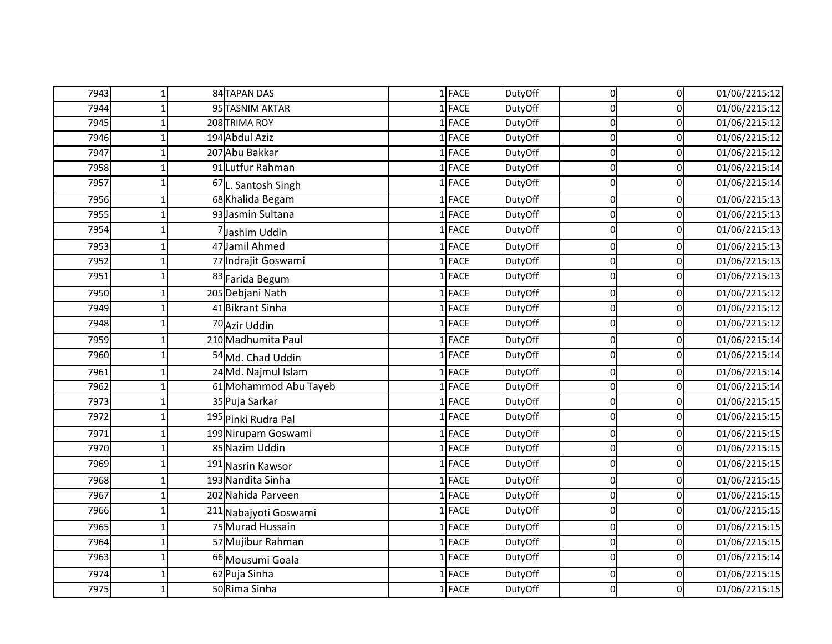| 7943 | $\mathbf{1}$ | <b>84 TAPAN DAS</b>              | $1$ FACE    | DutyOff | $\overline{0}$ | $\overline{0}$ | 01/06/2215:12 |
|------|--------------|----------------------------------|-------------|---------|----------------|----------------|---------------|
| 7944 |              | 95 TASNIM AKTAR                  | <b>FACE</b> | DutyOff | $\Omega$       | $\mathbf 0$    | 01/06/2215:12 |
| 7945 |              | 208 TRIMA ROY                    | 1 FACE      | DutyOff | $\Omega$       | 0              | 01/06/2215:12 |
| 7946 |              | 194 Abdul Aziz                   | <b>FACE</b> | DutyOff | $\Omega$       | $\Omega$       | 01/06/2215:12 |
| 7947 |              | 207 Abu Bakkar                   | 1 FACE      | DutyOff | O              | 0              | 01/06/2215:12 |
| 7958 |              | 91 Lutfur Rahman                 | 1 FACE      | DutyOff | 0              | 0              | 01/06/2215:14 |
| 7957 |              | 67L. Santosh Singh               | <b>FACE</b> | DutyOff |                | O              | 01/06/2215:14 |
| 7956 |              | 68 Khalida Begam                 | <b>FACE</b> | DutyOff | 0              | 0              | 01/06/2215:13 |
| 7955 |              | 93 Jasmin Sultana                | <b>FACE</b> | DutyOff | $\Omega$       | 0              | 01/06/2215:13 |
| 7954 |              | Jashim Uddin                     | 1 FACE      | DutyOff | $\Omega$       | $\Omega$       | 01/06/2215:13 |
| 7953 |              | 47 Jamil Ahmed                   | <b>FACE</b> | DutyOff | $\Omega$       | $\Omega$       | 01/06/2215:13 |
| 7952 |              | 77 Indrajit Goswami              | <b>FACE</b> | DutyOff | O              | $\Omega$       | 01/06/2215:13 |
| 7951 |              | 83 Farida Begum                  | 1 FACE      | DutyOff |                | 0              | 01/06/2215:13 |
| 7950 |              | 205 Debjani Nath                 | <b>FACE</b> | DutyOff | $\Omega$       | $\mathbf 0$    | 01/06/2215:12 |
| 7949 |              | 41 Bikrant Sinha                 | <b>FACE</b> | DutyOff | $\Omega$       | $\Omega$       | 01/06/2215:12 |
| 7948 |              | 70 Azir Uddin                    | 1 FACE      | DutyOff |                | 0              | 01/06/2215:12 |
| 7959 |              | 210 Madhumita Paul               | <b>FACE</b> | DutyOff | O              | 0              | 01/06/2215:14 |
| 7960 |              | 54 Md. Chad Uddin                | <b>FACE</b> | DutyOff |                | $\Omega$       | 01/06/2215:14 |
| 7961 |              | 24 Md. Najmul Islam              | <b>FACE</b> | DutyOff | 0              | 0              | 01/06/2215:14 |
| 7962 |              | 61 Mohammod Abu Tayeb            | <b>FACE</b> | DutyOff | $\Omega$       | 0              | 01/06/2215:14 |
| 7973 |              | 35 Puja Sarkar                   | <b>FACE</b> | DutyOff | O              | 0              | 01/06/2215:15 |
| 7972 |              | 195 Pinki Rudra Pal              | <b>FACE</b> | DutyOff |                | 0              | 01/06/2215:15 |
| 7971 |              | 199 Nirupam Goswami              | <b>FACE</b> | DutyOff | $\Omega$       | 0              | 01/06/2215:15 |
| 7970 |              | 85 Nazim Uddin                   | <b>FACE</b> | DutyOff | $\Omega$       | 0              | 01/06/2215:15 |
| 7969 |              | 191 Nasrin Kawsor                | <b>FACE</b> | DutyOff | O              | $\Omega$       | 01/06/2215:15 |
| 7968 |              | 193 Nandita Sinha                | 1 FACE      | DutyOff | O              | 0              | 01/06/2215:15 |
| 7967 |              | 202 Nahida Parveen               | 1 FACE      | DutyOff | $\Omega$       | 0              | 01/06/2215:15 |
| 7966 |              | <sup>211</sup> Nabajyoti Goswami | <b>FACE</b> | DutyOff |                | O              | 01/06/2215:15 |
| 7965 |              | 75 Murad Hussain                 | <b>FACE</b> | DutyOff | 0              | 0              | 01/06/2215:15 |
| 7964 |              | 57 Mujibur Rahman                | 1 FACE      | DutyOff | 0              | 0              | 01/06/2215:15 |
| 7963 |              | 66 Mousumi Goala                 | 1 FACE      | DutyOff | $\Omega$       | $\Omega$       | 01/06/2215:14 |
| 7974 |              | 62 Puja Sinha                    | <b>FACE</b> | DutyOff | 0              | 0              | 01/06/2215:15 |
| 7975 |              | 50 Rima Sinha                    | 1 FACE      | DutyOff | $\Omega$       | $\mathbf 0$    | 01/06/2215:15 |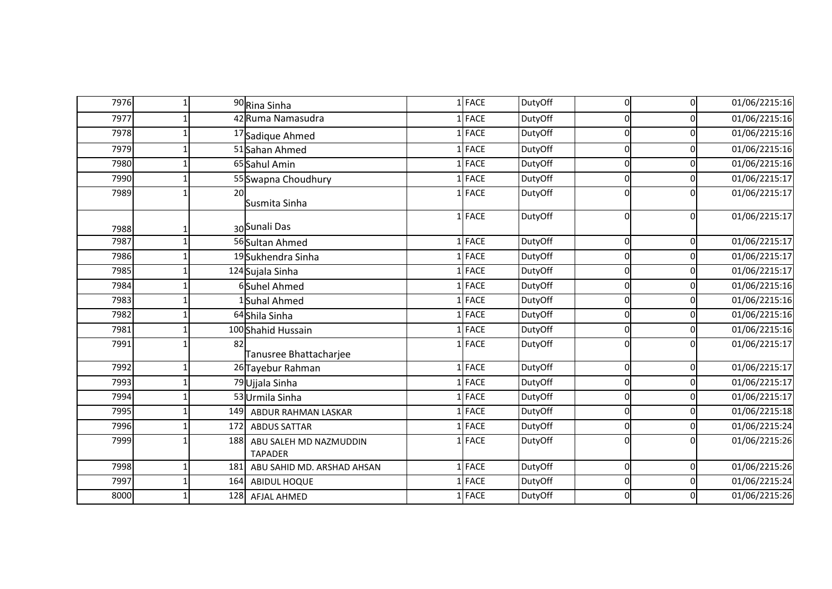| 7976 |     | 90 Rina Sinha                            | $1$ FACE    | DutyOff | 0  | $\mathbf 0$ | 01/06/2215:16 |
|------|-----|------------------------------------------|-------------|---------|----|-------------|---------------|
| 7977 |     | 42 Ruma Namasudra                        | <b>FACE</b> | DutyOff |    | O           | 01/06/2215:16 |
| 7978 |     | 17 Sadique Ahmed                         | 1 FACE      | DutyOff | U  | $\Omega$    | 01/06/2215:16 |
| 7979 |     | 51 Sahan Ahmed                           | L FACE      | DutyOff | U  | 0           | 01/06/2215:16 |
| 7980 |     | 65 Sahul Amin                            | <b>FACE</b> | DutyOff |    | O           | 01/06/2215:16 |
| 7990 |     | 55 Swapna Choudhury                      | <b>FACE</b> | DutyOff |    | O           | 01/06/2215:17 |
| 7989 | 20  | Susmita Sinha                            | 1 FACE      | DutyOff |    |             | 01/06/2215:17 |
| 7988 |     | 30 Sunali Das                            | FACE        | DutyOff | 0l | 0           | 01/06/2215:17 |
| 7987 |     | 56 Sultan Ahmed                          | FACE        | DutyOff | U  | $\Omega$    | 01/06/2215:17 |
| 7986 |     | 19 Sukhendra Sinha                       | <b>FACE</b> | DutyOff |    | O           | 01/06/2215:17 |
| 7985 |     | 124 Sujala Sinha                         | FACE        | DutyOff | U  | O           | 01/06/2215:17 |
| 7984 |     | 6Suhel Ahmed                             | L FACE      | DutyOff |    | 0           | 01/06/2215:16 |
| 7983 |     | Suhal Ahmed                              | <b>FACE</b> | DutyOff |    | O           | 01/06/2215:16 |
| 7982 |     | 64 Shila Sinha                           | <b>FACE</b> | DutyOff |    | O           | 01/06/2215:16 |
| 7981 |     | 100 Shahid Hussain                       | 1 FACE      | DutyOff | 0l | 0           | 01/06/2215:16 |
| 7991 | 82  | Tanusree Bhattacharjee                   | L FACE      | DutyOff |    | $\Omega$    | 01/06/2215:17 |
| 7992 |     | 26 Tayebur Rahman                        | <b>FACE</b> | DutyOff |    | 0           | 01/06/2215:17 |
| 7993 |     | 79 Ujjala Sinha                          | <b>FACE</b> | DutyOff |    | 0           | 01/06/2215:17 |
| 7994 |     | 53 Urmila Sinha                          | <b>FACE</b> | DutyOff |    | $\Omega$    | 01/06/2215:17 |
| 7995 |     | 149 ABDUR RAHMAN LASKAR                  | L FACE      | DutyOff |    | 0           | 01/06/2215:18 |
| 7996 | 172 | <b>ABDUS SATTAR</b>                      | <b>FACE</b> | DutyOff |    | 0           | 01/06/2215:24 |
| 7999 | 188 | ABU SALEH MD NAZMUDDIN<br><b>TAPADER</b> | $1$ FACE    | DutyOff | n  | O           | 01/06/2215:26 |
| 7998 | 181 | ABU SAHID MD. ARSHAD AHSAN               | $1$ FACE    | DutyOff | 0  | 0           | 01/06/2215:26 |
| 7997 | 164 | ABIDUL HOQUE                             | <b>FACE</b> | DutyOff |    | 0           | 01/06/2215:24 |
| 8000 |     | 128 AFJAL AHMED                          | FACE        | DutyOff |    |             | 01/06/2215:26 |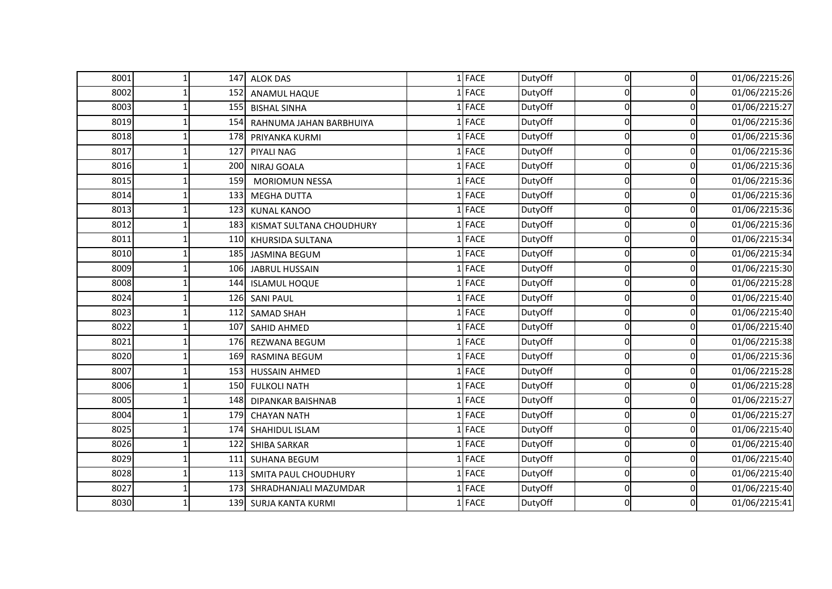| 8001 | 147 | <b>ALOK DAS</b>             | 1 FACE      | DutyOff | $\Omega$ | $\Omega$ | 01/06/2215:26 |
|------|-----|-----------------------------|-------------|---------|----------|----------|---------------|
| 8002 | 152 | <b>ANAMUL HAQUE</b>         | <b>FACE</b> | DutyOff |          | 0        | 01/06/2215:26 |
| 8003 | 155 | <b>BISHAL SINHA</b>         | <b>FACE</b> | DutyOff | n        | 0        | 01/06/2215:27 |
| 8019 | 154 | RAHNUMA JAHAN BARBHUIYA     | FACE        | DutyOff |          | $\Omega$ | 01/06/2215:36 |
| 8018 | 178 | PRIYANKA KURMI              | 1 FACE      | DutyOff | $\Omega$ | 0        | 01/06/2215:36 |
| 8017 | 127 | <b>PIYALI NAG</b>           | 1 FACE      | DutyOff | n        | 0        | 01/06/2215:36 |
| 8016 | 200 | NIRAJ GOALA                 | 1 FACE      | DutyOff | U        | 0        | 01/06/2215:36 |
| 8015 | 159 | <b>MORIOMUN NESSA</b>       | 1 FACE      | DutyOff | O        | 0        | 01/06/2215:36 |
| 8014 | 133 | <b>MEGHA DUTTA</b>          | 1 FACE      | DutyOff | $\Omega$ | 0        | 01/06/2215:36 |
| 8013 | 123 | <b>KUNAL KANOO</b>          | 1 FACE      | DutyOff |          | 0        | 01/06/2215:36 |
| 8012 | 183 | KISMAT SULTANA CHOUDHURY    | 1 FACE      | DutyOff | $\Omega$ | 0        | 01/06/2215:36 |
| 8011 | 110 | KHURSIDA SULTANA            | 1 FACE      | DutyOff | O        | 0        | 01/06/2215:34 |
| 8010 | 185 | <b>JASMINA BEGUM</b>        | FACE        | DutyOff | U        | 0        | 01/06/2215:34 |
| 8009 | 106 | JABRUL HUSSAIN              | 1 FACE      | DutyOff |          | 0        | 01/06/2215:30 |
| 8008 | 144 | <b>ISLAMUL HOQUE</b>        | 1 FACE      | DutyOff | $\Omega$ | 0        | 01/06/2215:28 |
| 8024 | 126 | <b>SANI PAUL</b>            | <b>FACE</b> | DutyOff |          | 0        | 01/06/2215:40 |
| 8023 | 112 | <b>SAMAD SHAH</b>           | 1 FACE      | DutyOff | $\Omega$ | 0        | 01/06/2215:40 |
| 8022 | 107 | SAHID AHMED                 | <b>FACE</b> | DutyOff |          | 0        | 01/06/2215:40 |
| 8021 | 176 | REZWANA BEGUM               | 1 FACE      | DutyOff | O        | 0        | 01/06/2215:38 |
| 8020 | 169 | <b>RASMINA BEGUM</b>        | <b>FACE</b> | DutyOff |          | 0        | 01/06/2215:36 |
| 8007 | 153 | HUSSAIN AHMED               | 1 FACE      | DutyOff | $\Omega$ | 0        | 01/06/2215:28 |
| 8006 | 150 | <b>FULKOLI NATH</b>         | <b>FACE</b> | DutyOff |          | 0        | 01/06/2215:28 |
| 8005 | 148 | <b>DIPANKAR BAISHNAB</b>    | 1 FACE      | DutyOff | O        | 0        | 01/06/2215:27 |
| 8004 | 179 | <b>CHAYAN NATH</b>          | <b>FACE</b> | DutyOff |          | 0        | 01/06/2215:27 |
| 8025 | 174 | SHAHIDUL ISLAM              | 1 FACE      | DutyOff | $\Omega$ | 0        | 01/06/2215:40 |
| 8026 | 122 | <b>SHIBA SARKAR</b>         | 1 FACE      | DutyOff |          | $\Omega$ | 01/06/2215:40 |
| 8029 | 111 | <b>SUHANA BEGUM</b>         | 1 FACE      | DutyOff | O        | 0        | 01/06/2215:40 |
| 8028 | 113 | <b>SMITA PAUL CHOUDHURY</b> | 1 FACE      | DutyOff | 0        | 0        | 01/06/2215:40 |
| 8027 | 173 | SHRADHANJALI MAZUMDAR       | 1 FACE      | DutyOff | $\Omega$ | 0        | 01/06/2215:40 |
| 8030 |     | 139 SURJA KANTA KURMI       | 1 FACE      | DutyOff |          | 0        | 01/06/2215:41 |